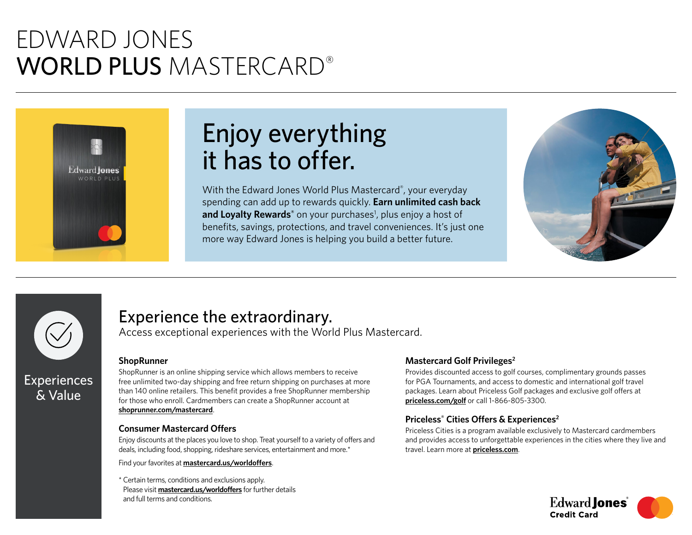# EDWARD JONES WORLD PLUS MASTERCARD®



# Enjoy everything it has to offer.

With the Edward Jones World Plus Mastercard® , your everyday spending can add up to rewards quickly. **Earn unlimited cash back**  and Loyalty Rewards<sup>®</sup> on your purchases<sup>1</sup>, plus enjoy a host of benefits, savings, protections, and travel conveniences. It's just one more way Edward Jones is helping you build a better future.





## Experience the extraordinary.

Access exceptional experiences with the World Plus Mastercard.

### **ShopRunner**

ShopRunner is an online shipping service which allows members to receive free unlimited two-day shipping and free return shipping on purchases at more than 140 online retailers. This benefit provides a free ShopRunner membership for those who enroll. Cardmembers can create a ShopRunner account at **[shoprunner.com/mastercard](https://shoprunner.com/mastercard)**.

### **Consumer Mastercard Offers**

Enjoy discounts at the places you love to shop. Treat yourself to a variety of offers and deals, including food, shopping, rideshare services, entertainment and more.\*

Find your favorites at **[mastercard.us/worldoffers](https://mastercard.us/worldoffers)**.

\* Certain terms, conditions and exclusions apply. Please visit **[mastercard.us/worldoffers](https://mastercard.us/worldoffers)** for further details and full terms and conditions.

### **Mastercard Golf Privileges2**

Provides discounted access to golf courses, complimentary grounds passes for PGA Tournaments, and access to domestic and international golf travel packages. Learn about Priceless Golf packages and exclusive golf offers at **[priceless.com/golf](https://priceless.com/golf)** or call 1-866-805-3300.

### **Priceless® Cities Offers & Experiences2**

Priceless Cities is a program available exclusively to Mastercard cardmembers and provides access to unforgettable experiences in the cities where they live and travel. Learn more at **[priceless.com](https://priceless.com/)**.

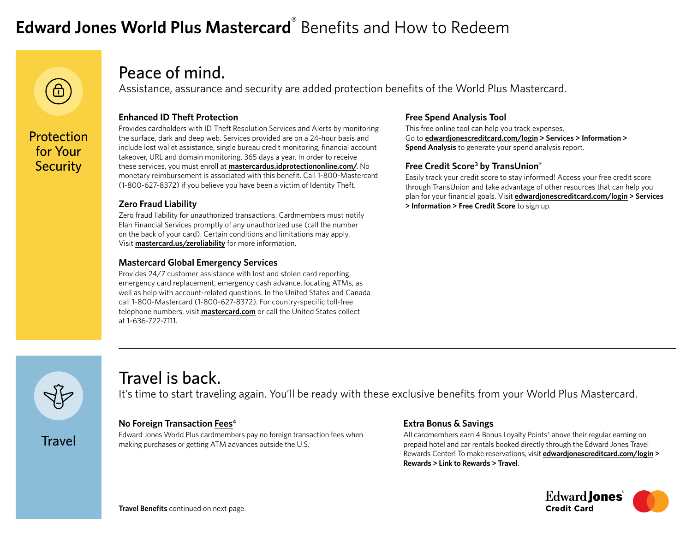# **Edward Jones World Plus Mastercard**® Benefits and How to Redeem



for Your **Security** 

### Peace of mind.

Assistance, assurance and security are added protection benefits of the World Plus Mastercard.

### **Enhanced ID Theft Protection**

Provides cardholders with ID Theft Resolution Services and Alerts by monitoring the surface, dark and deep web. Services provided are on a 24-hour basis and include lost wallet assistance, single bureau credit monitoring, financial account takeover, URL and domain monitoring, 365 days a year. In order to receive these services, you must enroll at **[mastercardus.idprotectiononline.com/](https://mastercardus.idprotectiononline.com/)**. No monetary reimbursement is associated with this benefit. Call 1-800-Mastercard (1-800-627-8372) if you believe you have been a victim of Identity Theft.

### **Zero Fraud Liability**

Zero fraud liability for unauthorized transactions. Cardmembers must notify Elan Financial Services promptly of any unauthorized use (call the number on the back of your card). Certain conditions and limitations may apply. Visit **[mastercard.us/zeroliability](https://mastercard.us/zeroliability)** for more information.

### **Mastercard Global Emergency Services**

Provides 24/7 customer assistance with lost and stolen card reporting, emergency card replacement, emergency cash advance, locating ATMs, as well as help with account-related questions. In the United States and Canada call 1-800-Mastercard (1-800-627-8372). For country-specific toll-free telephone numbers, visit **[mastercard.com](https://mastercard.com/)** or call the United States collect at 1-636-722-7111.

### **Free Spend Analysis Tool**

This free online tool can help you track expenses. Go to **[edwardjonescreditcard.com/login](https://edwardjonescreditcard.com/login) > Services > Information > Spend Analysis** to generate your spend analysis report.

### **Free Credit Score3 by TransUnion®**

Easily track your credit score to stay informed! Access your free credit score through TransUnion and take advantage of other resources that can help you plan for your financial goals. Visit **[edwardjonescreditcard.com/login](https://edwardjonescreditcard.com/login) > Services > Information > Free Credit Score** to sign up.



**Travel** 

### Travel is back.

It's time to start traveling again. You'll be ready with these exclusive benefits from your World Plus Mastercard.

### **No Foreign Transaction [Fees](https://apply.edwardjonescreditcard.com/oad/terms.controller?locationCode=9681&offerId=P3B6HGV9WX)4**

Edward Jones World Plus cardmembers pay no foreign transaction fees when making purchases or getting ATM advances outside the U.S.

### **Extra Bonus & Savings**

All cardmembers earn 4 Bonus Loyalty Points® above their regular earning on prepaid hotel and car rentals booked directly through the Edward Jones Travel Rewards Center! To make reservations, visit **[edwardjonescreditcard.com/login](https://edwardjonescreditcard.com/login) > Rewards > Link to Rewards > Travel**.